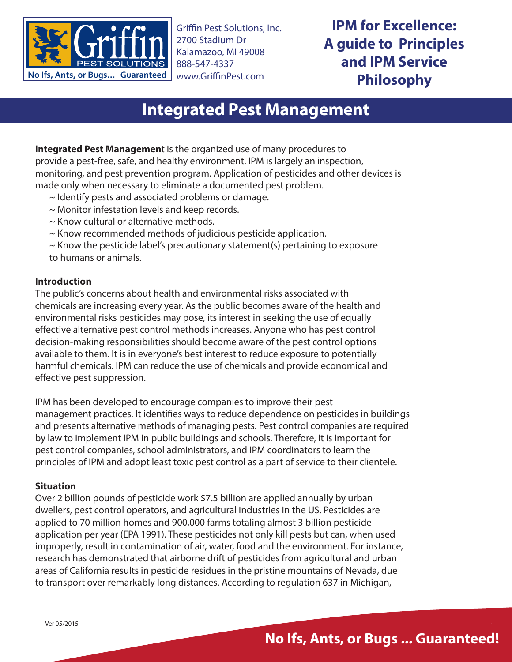

Griffin Pest Solutions, Inc. 2700 Stadium Dr Kalamazoo, MI 49008 888-547-4337 www.GriffinPest.com

**IPM for Excellence: A guide to Principles and IPM Service Philosophy**

# **Integrated Pest Management**

**Integrated Pest Managemen**t is the organized use of many procedures to provide a pest-free, safe, and healthy environment. IPM is largely an inspection, monitoring, and pest prevention program. Application of pesticides and other devices is made only when necessary to eliminate a documented pest problem.

- ~ Identify pests and associated problems or damage.
- ~ Monitor infestation levels and keep records.
- ~ Know cultural or alternative methods.
- ~ Know recommended methods of judicious pesticide application.
- ~ Know the pesticide label's precautionary statement(s) pertaining to exposure to humans or animals.

#### **Introduction**

The public's concerns about health and environmental risks associated with chemicals are increasing every year. As the public becomes aware of the health and environmental risks pesticides may pose, its interest in seeking the use of equally effective alternative pest control methods increases. Anyone who has pest control decision-making responsibilities should become aware of the pest control options available to them. It is in everyone's best interest to reduce exposure to potentially harmful chemicals. IPM can reduce the use of chemicals and provide economical and effective pest suppression.

IPM has been developed to encourage companies to improve their pest management practices. It identifies ways to reduce dependence on pesticides in buildings and presents alternative methods of managing pests. Pest control companies are required by law to implement IPM in public buildings and schools. Therefore, it is important for pest control companies, school administrators, and IPM coordinators to learn the principles of IPM and adopt least toxic pest control as a part of service to their clientele.

#### **Situation**

Over 2 billion pounds of pesticide work \$7.5 billion are applied annually by urban dwellers, pest control operators, and agricultural industries in the US. Pesticides are applied to 70 million homes and 900,000 farms totaling almost 3 billion pesticide application per year (EPA 1991). These pesticides not only kill pests but can, when used improperly, result in contamination of air, water, food and the environment. For instance, research has demonstrated that airborne drift of pesticides from agricultural and urban areas of California results in pesticide residues in the pristine mountains of Nevada, due to transport over remarkably long distances. According to regulation 637 in Michigan,

## **No Ifs, Ants, or Bugs ... Guaranteed!**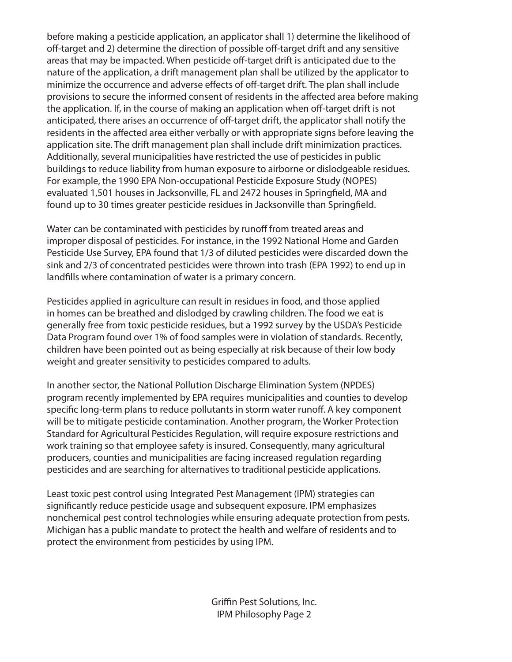before making a pesticide application, an applicator shall 1) determine the likelihood of off-target and 2) determine the direction of possible off-target drift and any sensitive areas that may be impacted. When pesticide off-target drift is anticipated due to the nature of the application, a drift management plan shall be utilized by the applicator to minimize the occurrence and adverse effects of off-target drift. The plan shall include provisions to secure the informed consent of residents in the affected area before making the application. If, in the course of making an application when off-target drift is not anticipated, there arises an occurrence of off-target drift, the applicator shall notify the residents in the affected area either verbally or with appropriate signs before leaving the application site. The drift management plan shall include drift minimization practices. Additionally, several municipalities have restricted the use of pesticides in public buildings to reduce liability from human exposure to airborne or dislodgeable residues. For example, the 1990 EPA Non-occupational Pesticide Exposure Study (NOPES) evaluated 1,501 houses in Jacksonville, FL and 2472 houses in Springfield, MA and found up to 30 times greater pesticide residues in Jacksonville than Springfield.

Water can be contaminated with pesticides by runoff from treated areas and improper disposal of pesticides. For instance, in the 1992 National Home and Garden Pesticide Use Survey, EPA found that 1/3 of diluted pesticides were discarded down the sink and 2/3 of concentrated pesticides were thrown into trash (EPA 1992) to end up in landfills where contamination of water is a primary concern.

Pesticides applied in agriculture can result in residues in food, and those applied in homes can be breathed and dislodged by crawling children. The food we eat is generally free from toxic pesticide residues, but a 1992 survey by the USDA's Pesticide Data Program found over 1% of food samples were in violation of standards. Recently, children have been pointed out as being especially at risk because of their low body weight and greater sensitivity to pesticides compared to adults.

In another sector, the National Pollution Discharge Elimination System (NPDES) program recently implemented by EPA requires municipalities and counties to develop specific long-term plans to reduce pollutants in storm water runoff. A key component will be to mitigate pesticide contamination. Another program, the Worker Protection Standard for Agricultural Pesticides Regulation, will require exposure restrictions and work training so that employee safety is insured. Consequently, many agricultural producers, counties and municipalities are facing increased regulation regarding pesticides and are searching for alternatives to traditional pesticide applications.

Least toxic pest control using Integrated Pest Management (IPM) strategies can significantly reduce pesticide usage and subsequent exposure. IPM emphasizes nonchemical pest control technologies while ensuring adequate protection from pests. Michigan has a public mandate to protect the health and welfare of residents and to protect the environment from pesticides by using IPM.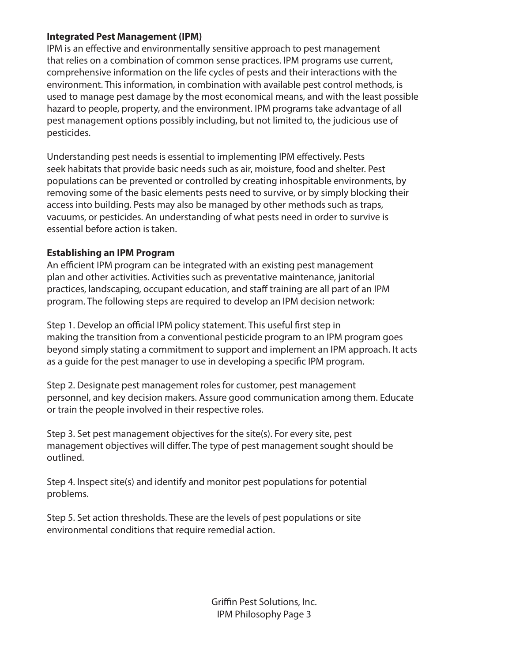#### **Integrated Pest Management (IPM)**

IPM is an effective and environmentally sensitive approach to pest management that relies on a combination of common sense practices. IPM programs use current, comprehensive information on the life cycles of pests and their interactions with the environment. This information, in combination with available pest control methods, is used to manage pest damage by the most economical means, and with the least possible hazard to people, property, and the environment. IPM programs take advantage of all pest management options possibly including, but not limited to, the judicious use of pesticides.

Understanding pest needs is essential to implementing IPM effectively. Pests seek habitats that provide basic needs such as air, moisture, food and shelter. Pest populations can be prevented or controlled by creating inhospitable environments, by removing some of the basic elements pests need to survive, or by simply blocking their access into building. Pests may also be managed by other methods such as traps, vacuums, or pesticides. An understanding of what pests need in order to survive is essential before action is taken.

#### **Establishing an IPM Program**

An efficient IPM program can be integrated with an existing pest management plan and other activities. Activities such as preventative maintenance, janitorial practices, landscaping, occupant education, and staff training are all part of an IPM program. The following steps are required to develop an IPM decision network:

Step 1. Develop an official IPM policy statement. This useful first step in making the transition from a conventional pesticide program to an IPM program goes beyond simply stating a commitment to support and implement an IPM approach. It acts as a guide for the pest manager to use in developing a specific IPM program.

Step 2. Designate pest management roles for customer, pest management personnel, and key decision makers. Assure good communication among them. Educate or train the people involved in their respective roles.

Step 3. Set pest management objectives for the site(s). For every site, pest management objectives will differ. The type of pest management sought should be outlined.

Step 4. Inspect site(s) and identify and monitor pest populations for potential problems.

Step 5. Set action thresholds. These are the levels of pest populations or site environmental conditions that require remedial action.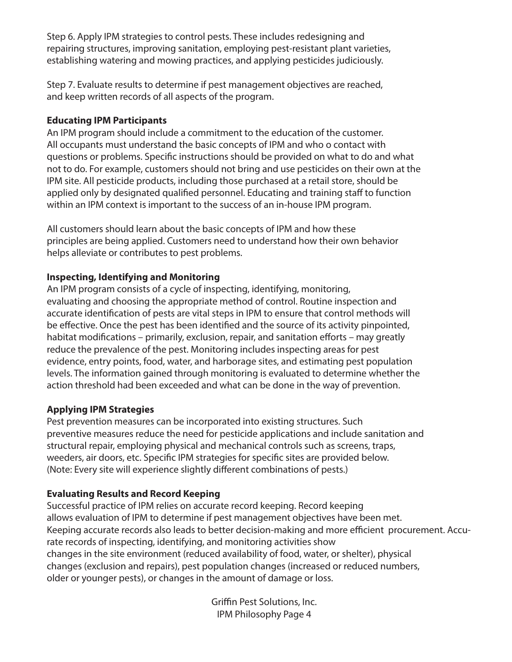Step 6. Apply IPM strategies to control pests. These includes redesigning and repairing structures, improving sanitation, employing pest-resistant plant varieties, establishing watering and mowing practices, and applying pesticides judiciously.

Step 7. Evaluate results to determine if pest management objectives are reached, and keep written records of all aspects of the program.

#### **Educating IPM Participants**

An IPM program should include a commitment to the education of the customer. All occupants must understand the basic concepts of IPM and who o contact with questions or problems. Specific instructions should be provided on what to do and what not to do. For example, customers should not bring and use pesticides on their own at the IPM site. All pesticide products, including those purchased at a retail store, should be applied only by designated qualified personnel. Educating and training staff to function within an IPM context is important to the success of an in-house IPM program.

All customers should learn about the basic concepts of IPM and how these principles are being applied. Customers need to understand how their own behavior helps alleviate or contributes to pest problems.

#### **Inspecting, Identifying and Monitoring**

An IPM program consists of a cycle of inspecting, identifying, monitoring, evaluating and choosing the appropriate method of control. Routine inspection and accurate identification of pests are vital steps in IPM to ensure that control methods will be effective. Once the pest has been identified and the source of its activity pinpointed, habitat modifications – primarily, exclusion, repair, and sanitation efforts – may greatly reduce the prevalence of the pest. Monitoring includes inspecting areas for pest evidence, entry points, food, water, and harborage sites, and estimating pest population levels. The information gained through monitoring is evaluated to determine whether the action threshold had been exceeded and what can be done in the way of prevention.

#### **Applying IPM Strategies**

Pest prevention measures can be incorporated into existing structures. Such preventive measures reduce the need for pesticide applications and include sanitation and structural repair, employing physical and mechanical controls such as screens, traps, weeders, air doors, etc. Specific IPM strategies for specific sites are provided below. (Note: Every site will experience slightly different combinations of pests.)

#### **Evaluating Results and Record Keeping**

Successful practice of IPM relies on accurate record keeping. Record keeping allows evaluation of IPM to determine if pest management objectives have been met. Keeping accurate records also leads to better decision-making and more efficient procurement. Accurate records of inspecting, identifying, and monitoring activities show changes in the site environment (reduced availability of food, water, or shelter), physical changes (exclusion and repairs), pest population changes (increased or reduced numbers, older or younger pests), or changes in the amount of damage or loss.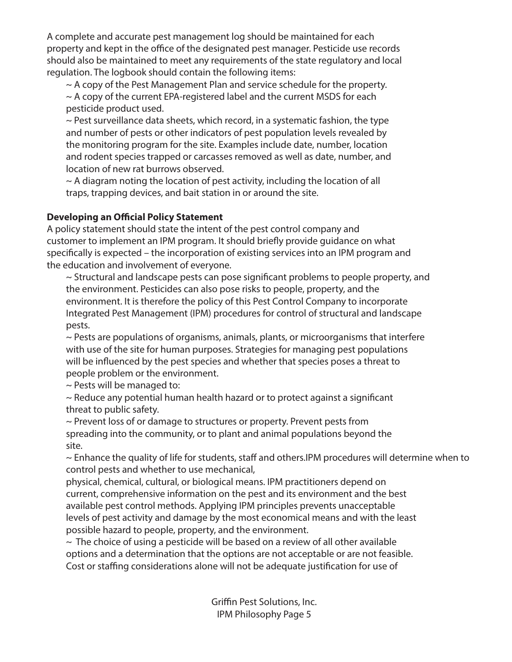A complete and accurate pest management log should be maintained for each property and kept in the office of the designated pest manager. Pesticide use records should also be maintained to meet any requirements of the state regulatory and local regulation. The logbook should contain the following items:

~ A copy of the Pest Management Plan and service schedule for the property.

 $\sim$  A copy of the current EPA-registered label and the current MSDS for each pesticide product used.

 $\sim$  Pest surveillance data sheets, which record, in a systematic fashion, the type and number of pests or other indicators of pest population levels revealed by the monitoring program for the site. Examples include date, number, location and rodent species trapped or carcasses removed as well as date, number, and location of new rat burrows observed.

 $\sim$  A diagram noting the location of pest activity, including the location of all traps, trapping devices, and bait station in or around the site.

**Developing an Official Policy Statement** A policy statement should state the intent of the pest control company and customer to implement an IPM program. It should briefly provide guidance on what specifically is expected – the incorporation of existing services into an IPM program and the education and involvement of everyone.

~ Structural and landscape pests can pose significant problems to people property, and the environment. Pesticides can also pose risks to people, property, and the environment. It is therefore the policy of this Pest Control Company to incorporate Integrated Pest Management (IPM) procedures for control of structural and landscape pests.

~ Pests are populations of organisms, animals, plants, or microorganisms that interfere with use of the site for human purposes. Strategies for managing pest populations will be influenced by the pest species and whether that species poses a threat to people problem or the environment.

 $\sim$  Pests will be managed to:

~ Reduce any potential human health hazard or to protect against a significant threat to public safety.

~ Prevent loss of or damage to structures or property. Prevent pests from spreading into the community, or to plant and animal populations beyond the site.

~ Enhance the quality of life for students, staff and others.IPM procedures will determine when to control pests and whether to use mechanical,

physical, chemical, cultural, or biological means. IPM practitioners depend on current, comprehensive information on the pest and its environment and the best available pest control methods. Applying IPM principles prevents unacceptable levels of pest activity and damage by the most economical means and with the least possible hazard to people, property, and the environment.

 $\sim$  The choice of using a pesticide will be based on a review of all other available options and a determination that the options are not acceptable or are not feasible. Cost or staffing considerations alone will not be adequate justification for use of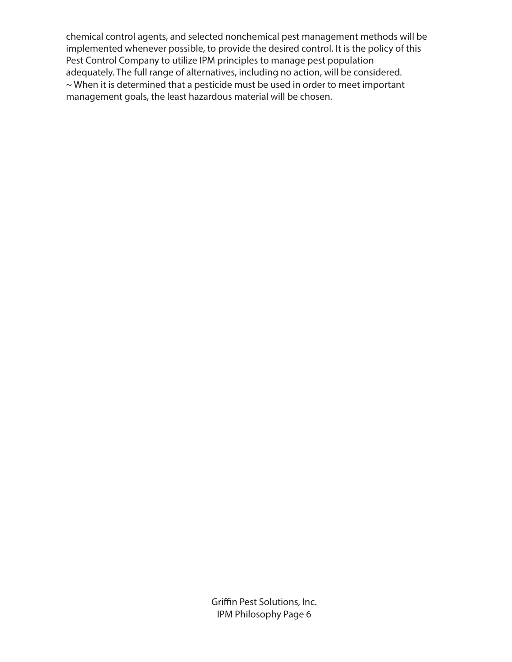chemical control agents, and selected nonchemical pest management methods will be implemented whenever possible, to provide the desired control. It is the policy of this Pest Control Company to utilize IPM principles to manage pest population adequately. The full range of alternatives, including no action, will be considered. ~ When it is determined that a pesticide must be used in order to meet important management goals, the least hazardous material will be chosen.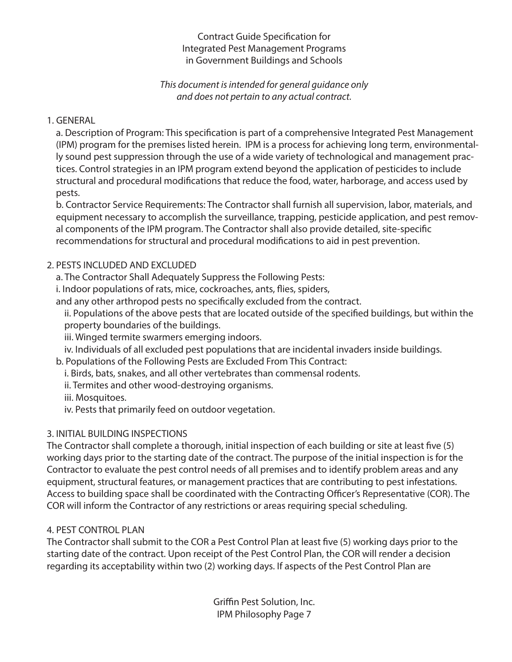#### Contract Guide Specification for Integrated Pest Management Programs in Government Buildings and Schools

#### *This document is intended for general guidance only and does not pertain to any actual contract.*

#### 1. GENERAL

a. Description of Program: This specification is part of a comprehensive Integrated Pest Management (IPM) program for the premises listed herein. IPM is a process for achieving long term, environmentally sound pest suppression through the use of a wide variety of technological and management practices. Control strategies in an IPM program extend beyond the application of pesticides to include structural and procedural modifications that reduce the food, water, harborage, and access used by pests.

b. Contractor Service Requirements: The Contractor shall furnish all supervision, labor, materials, and equipment necessary to accomplish the surveillance, trapping, pesticide application, and pest removal components of the IPM program. The Contractor shall also provide detailed, site-specific recommendations for structural and procedural modifications to aid in pest prevention.

#### 2. PESTS INCLUDED AND EXCLUDED

a. The Contractor Shall Adequately Suppress the Following Pests:

i. Indoor populations of rats, mice, cockroaches, ants, flies, spiders,

and any other arthropod pests no specifically excluded from the contract.

ii. Populations of the above pests that are located outside of the specified buildings, but within the property boundaries of the buildings.

iii. Winged termite swarmers emerging indoors.

iv. Individuals of all excluded pest populations that are incidental invaders inside buildings.

b. Populations of the Following Pests are Excluded From This Contract:

i. Birds, bats, snakes, and all other vertebrates than commensal rodents.

ii. Termites and other wood-destroying organisms.

iii. Mosquitoes.

iv. Pests that primarily feed on outdoor vegetation.

#### 3. INITIAL BUILDING INSPECTIONS

The Contractor shall complete a thorough, initial inspection of each building or site at least five (5) working days prior to the starting date of the contract. The purpose of the initial inspection is for the Contractor to evaluate the pest control needs of all premises and to identify problem areas and any equipment, structural features, or management practices that are contributing to pest infestations. Access to building space shall be coordinated with the Contracting Officer's Representative (COR). The COR will inform the Contractor of any restrictions or areas requiring special scheduling.

#### 4. PEST CONTROL PLAN

The Contractor shall submit to the COR a Pest Control Plan at least five (5) working days prior to the starting date of the contract. Upon receipt of the Pest Control Plan, the COR will render a decision regarding its acceptability within two (2) working days. If aspects of the Pest Control Plan are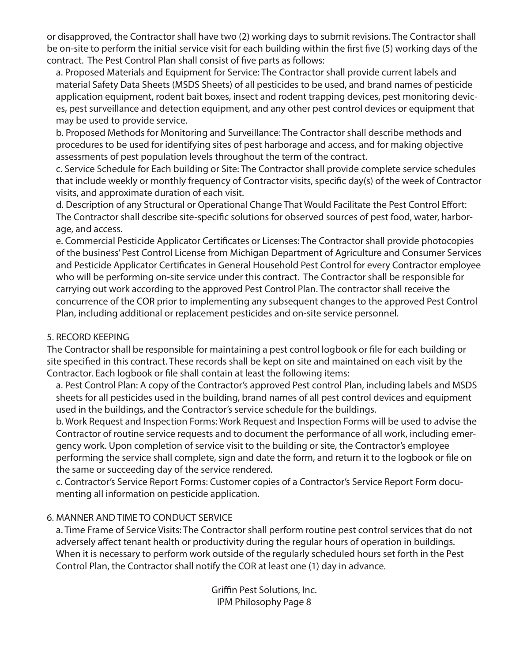or disapproved, the Contractor shall have two (2) working days to submit revisions. The Contractor shall be on-site to perform the initial service visit for each building within the first five (5) working days of the contract. The Pest Control Plan shall consist of five parts as follows:

a. Proposed Materials and Equipment for Service: The Contractor shall provide current labels and material Safety Data Sheets (MSDS Sheets) of all pesticides to be used, and brand names of pesticide application equipment, rodent bait boxes, insect and rodent trapping devices, pest monitoring devices, pest surveillance and detection equipment, and any other pest control devices or equipment that may be used to provide service.

b. Proposed Methods for Monitoring and Surveillance: The Contractor shall describe methods and procedures to be used for identifying sites of pest harborage and access, and for making objective assessments of pest population levels throughout the term of the contract.

c. Service Schedule for Each building or Site: The Contractor shall provide complete service schedules that include weekly or monthly frequency of Contractor visits, specific day(s) of the week of Contractor visits, and approximate duration of each visit.

d. Description of any Structural or Operational Change That Would Facilitate the Pest Control Effort: The Contractor shall describe site-specific solutions for observed sources of pest food, water, harborage, and access.

e. Commercial Pesticide Applicator Certificates or Licenses: The Contractor shall provide photocopies of the business' Pest Control License from Michigan Department of Agriculture and Consumer Services and Pesticide Applicator Certificates in General Household Pest Control for every Contractor employee who will be performing on-site service under this contract. The Contractor shall be responsible for carrying out work according to the approved Pest Control Plan. The contractor shall receive the concurrence of the COR prior to implementing any subsequent changes to the approved Pest Control Plan, including additional or replacement pesticides and on-site service personnel.

#### 5. RECORD KEEPING

The Contractor shall be responsible for maintaining a pest control logbook or file for each building or site specified in this contract. These records shall be kept on site and maintained on each visit by the Contractor. Each logbook or file shall contain at least the following items:

a. Pest Control Plan: A copy of the Contractor's approved Pest control Plan, including labels and MSDS sheets for all pesticides used in the building, brand names of all pest control devices and equipment used in the buildings, and the Contractor's service schedule for the buildings.

b. Work Request and Inspection Forms: Work Request and Inspection Forms will be used to advise the Contractor of routine service requests and to document the performance of all work, including emergency work. Upon completion of service visit to the building or site, the Contractor's employee performing the service shall complete, sign and date the form, and return it to the logbook or file on the same or succeeding day of the service rendered.

c. Contractor's Service Report Forms: Customer copies of a Contractor's Service Report Form documenting all information on pesticide application.

#### 6. MANNER AND TIME TO CONDUCT SERVICE

a. Time Frame of Service Visits: The Contractor shall perform routine pest control services that do not adversely affect tenant health or productivity during the regular hours of operation in buildings. When it is necessary to perform work outside of the regularly scheduled hours set forth in the Pest Control Plan, the Contractor shall notify the COR at least one (1) day in advance.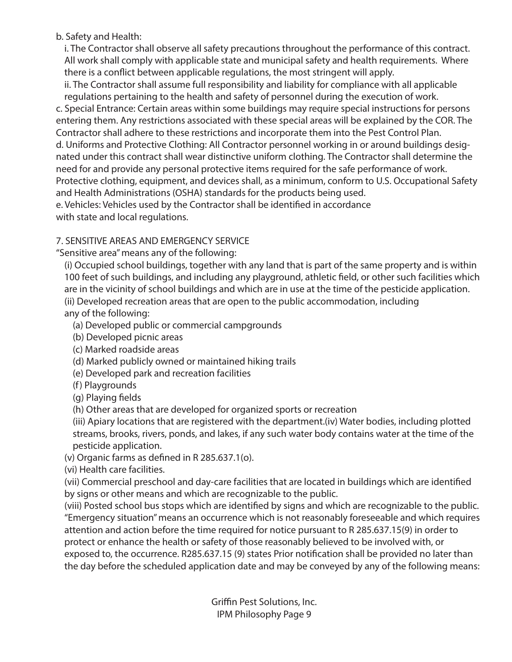#### b. Safety and Health:

i. The Contractor shall observe all safety precautions throughout the performance of this contract. All work shall comply with applicable state and municipal safety and health requirements. Where there is a conflict between applicable regulations, the most stringent will apply.

ii. The Contractor shall assume full responsibility and liability for compliance with all applicable regulations pertaining to the health and safety of personnel during the execution of work.

c. Special Entrance: Certain areas within some buildings may require special instructions for persons entering them. Any restrictions associated with these special areas will be explained by the COR. The Contractor shall adhere to these restrictions and incorporate them into the Pest Control Plan. d. Uniforms and Protective Clothing: All Contractor personnel working in or around buildings designated under this contract shall wear distinctive uniform clothing. The Contractor shall determine the need for and provide any personal protective items required for the safe performance of work. Protective clothing, equipment, and devices shall, as a minimum, conform to U.S. Occupational Safety and Health Administrations (OSHA) standards for the products being used. e. Vehicles: Vehicles used by the Contractor shall be identified in accordance

with state and local regulations.

#### 7. SENSITIVE AREAS AND EMERGENCY SERVICE

"Sensitive area" means any of the following:

(i) Occupied school buildings, together with any land that is part of the same property and is within 100 feet of such buildings, and including any playground, athletic field, or other such facilities which are in the vicinity of school buildings and which are in use at the time of the pesticide application. (ii) Developed recreation areas that are open to the public accommodation, including any of the following:

- (a) Developed public or commercial campgrounds
- (b) Developed picnic areas
- (c) Marked roadside areas
- (d) Marked publicly owned or maintained hiking trails
- (e) Developed park and recreation facilities
- (f) Playgrounds
- (g) Playing fields

(h) Other areas that are developed for organized sports or recreation

(iii) Apiary locations that are registered with the department.(iv) Water bodies, including plotted streams, brooks, rivers, ponds, and lakes, if any such water body contains water at the time of the pesticide application.

(v) Organic farms as defined in R 285.637.1(o).

(vi) Health care facilities.

(vii) Commercial preschool and day-care facilities that are located in buildings which are identified by signs or other means and which are recognizable to the public.

(viii) Posted school bus stops which are identified by signs and which are recognizable to the public. "Emergency situation" means an occurrence which is not reasonably foreseeable and which requires attention and action before the time required for notice pursuant to R 285.637.15(9) in order to protect or enhance the health or safety of those reasonably believed to be involved with, or exposed to, the occurrence. R285.637.15 (9) states Prior notification shall be provided no later than the day before the scheduled application date and may be conveyed by any of the following means: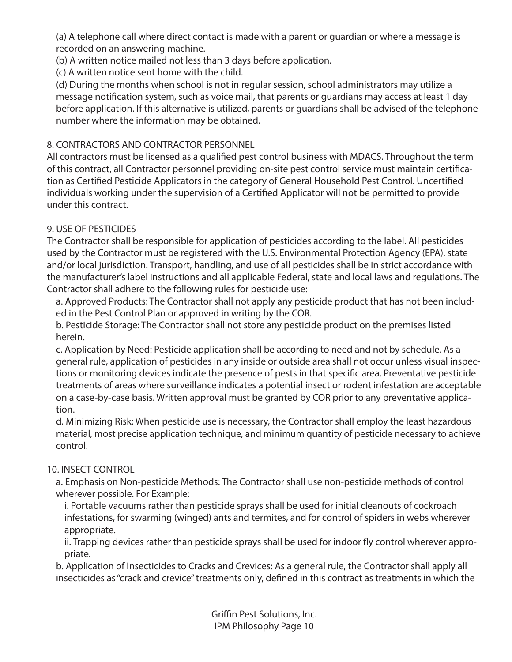(a) A telephone call where direct contact is made with a parent or guardian or where a message is recorded on an answering machine.

(b) A written notice mailed not less than 3 days before application.

(c) A written notice sent home with the child.

(d) During the months when school is not in regular session, school administrators may utilize a message notification system, such as voice mail, that parents or guardians may access at least 1 day before application. If this alternative is utilized, parents or guardians shall be advised of the telephone number where the information may be obtained.

### 8. CONTRACTORS AND CONTRACTOR PERSONNEL

All contractors must be licensed as a qualified pest control business with MDACS. Throughout the term of this contract, all Contractor personnel providing on-site pest control service must maintain certification as Certified Pesticide Applicators in the category of General Household Pest Control. Uncertified individuals working under the supervision of a Certified Applicator will not be permitted to provide under this contract.

#### 9. USE OF PESTICIDES

The Contractor shall be responsible for application of pesticides according to the label. All pesticides used by the Contractor must be registered with the U.S. Environmental Protection Agency (EPA), state and/or local jurisdiction. Transport, handling, and use of all pesticides shall be in strict accordance with the manufacturer's label instructions and all applicable Federal, state and local laws and regulations. The Contractor shall adhere to the following rules for pesticide use:

a. Approved Products: The Contractor shall not apply any pesticide product that has not been included in the Pest Control Plan or approved in writing by the COR.

b. Pesticide Storage: The Contractor shall not store any pesticide product on the premises listed herein.

c. Application by Need: Pesticide application shall be according to need and not by schedule. As a general rule, application of pesticides in any inside or outside area shall not occur unless visual inspections or monitoring devices indicate the presence of pests in that specific area. Preventative pesticide treatments of areas where surveillance indicates a potential insect or rodent infestation are acceptable on a case-by-case basis. Written approval must be granted by COR prior to any preventative application.

d. Minimizing Risk: When pesticide use is necessary, the Contractor shall employ the least hazardous material, most precise application technique, and minimum quantity of pesticide necessary to achieve control.

#### 10. INSECT CONTROL

a. Emphasis on Non-pesticide Methods: The Contractor shall use non-pesticide methods of control wherever possible. For Example:

i. Portable vacuums rather than pesticide sprays shall be used for initial cleanouts of cockroach infestations, for swarming (winged) ants and termites, and for control of spiders in webs wherever appropriate.

ii. Trapping devices rather than pesticide sprays shall be used for indoor fly control wherever appropriate.

b. Application of Insecticides to Cracks and Crevices: As a general rule, the Contractor shall apply all insecticides as "crack and crevice" treatments only, defined in this contract as treatments in which the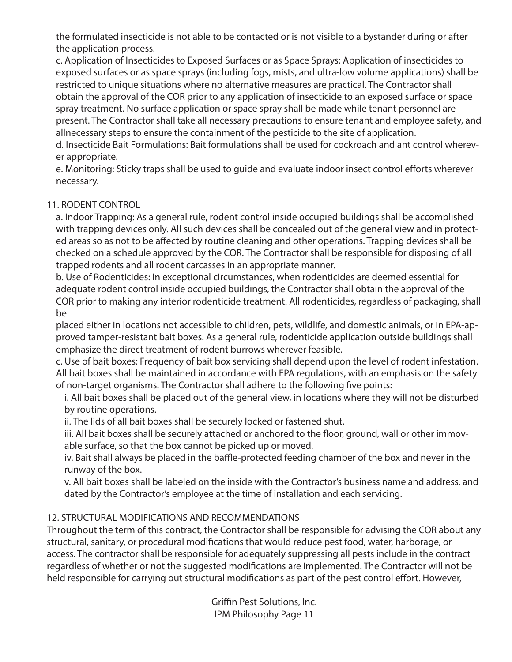the formulated insecticide is not able to be contacted or is not visible to a bystander during or after the application process.

c. Application of Insecticides to Exposed Surfaces or as Space Sprays: Application of insecticides to exposed surfaces or as space sprays (including fogs, mists, and ultra-low volume applications) shall be restricted to unique situations where no alternative measures are practical. The Contractor shall obtain the approval of the COR prior to any application of insecticide to an exposed surface or space spray treatment. No surface application or space spray shall be made while tenant personnel are present. The Contractor shall take all necessary precautions to ensure tenant and employee safety, and allnecessary steps to ensure the containment of the pesticide to the site of application.

d. Insecticide Bait Formulations: Bait formulations shall be used for cockroach and ant control wherever appropriate.

e. Monitoring: Sticky traps shall be used to guide and evaluate indoor insect control efforts wherever necessary.

#### 11. RODENT CONTROL

a. Indoor Trapping: As a general rule, rodent control inside occupied buildings shall be accomplished with trapping devices only. All such devices shall be concealed out of the general view and in protected areas so as not to be affected by routine cleaning and other operations. Trapping devices shall be checked on a schedule approved by the COR. The Contractor shall be responsible for disposing of all trapped rodents and all rodent carcasses in an appropriate manner.

b. Use of Rodenticides: In exceptional circumstances, when rodenticides are deemed essential for adequate rodent control inside occupied buildings, the Contractor shall obtain the approval of the COR prior to making any interior rodenticide treatment. All rodenticides, regardless of packaging, shall be

placed either in locations not accessible to children, pets, wildlife, and domestic animals, or in EPA-approved tamper-resistant bait boxes. As a general rule, rodenticide application outside buildings shall emphasize the direct treatment of rodent burrows wherever feasible.

c. Use of bait boxes: Frequency of bait box servicing shall depend upon the level of rodent infestation. All bait boxes shall be maintained in accordance with EPA regulations, with an emphasis on the safety of non-target organisms. The Contractor shall adhere to the following five points:

i. All bait boxes shall be placed out of the general view, in locations where they will not be disturbed by routine operations.

ii. The lids of all bait boxes shall be securely locked or fastened shut.

iii. All bait boxes shall be securely attached or anchored to the floor, ground, wall or other immovable surface, so that the box cannot be picked up or moved.

iv. Bait shall always be placed in the baffle-protected feeding chamber of the box and never in the runway of the box.

v. All bait boxes shall be labeled on the inside with the Contractor's business name and address, and dated by the Contractor's employee at the time of installation and each servicing.

#### 12. STRUCTURAL MODIFICATIONS AND RECOMMENDATIONS

Throughout the term of this contract, the Contractor shall be responsible for advising the COR about any structural, sanitary, or procedural modifications that would reduce pest food, water, harborage, or access. The contractor shall be responsible for adequately suppressing all pests include in the contract regardless of whether or not the suggested modifications are implemented. The Contractor will not be held responsible for carrying out structural modifications as part of the pest control effort. However,